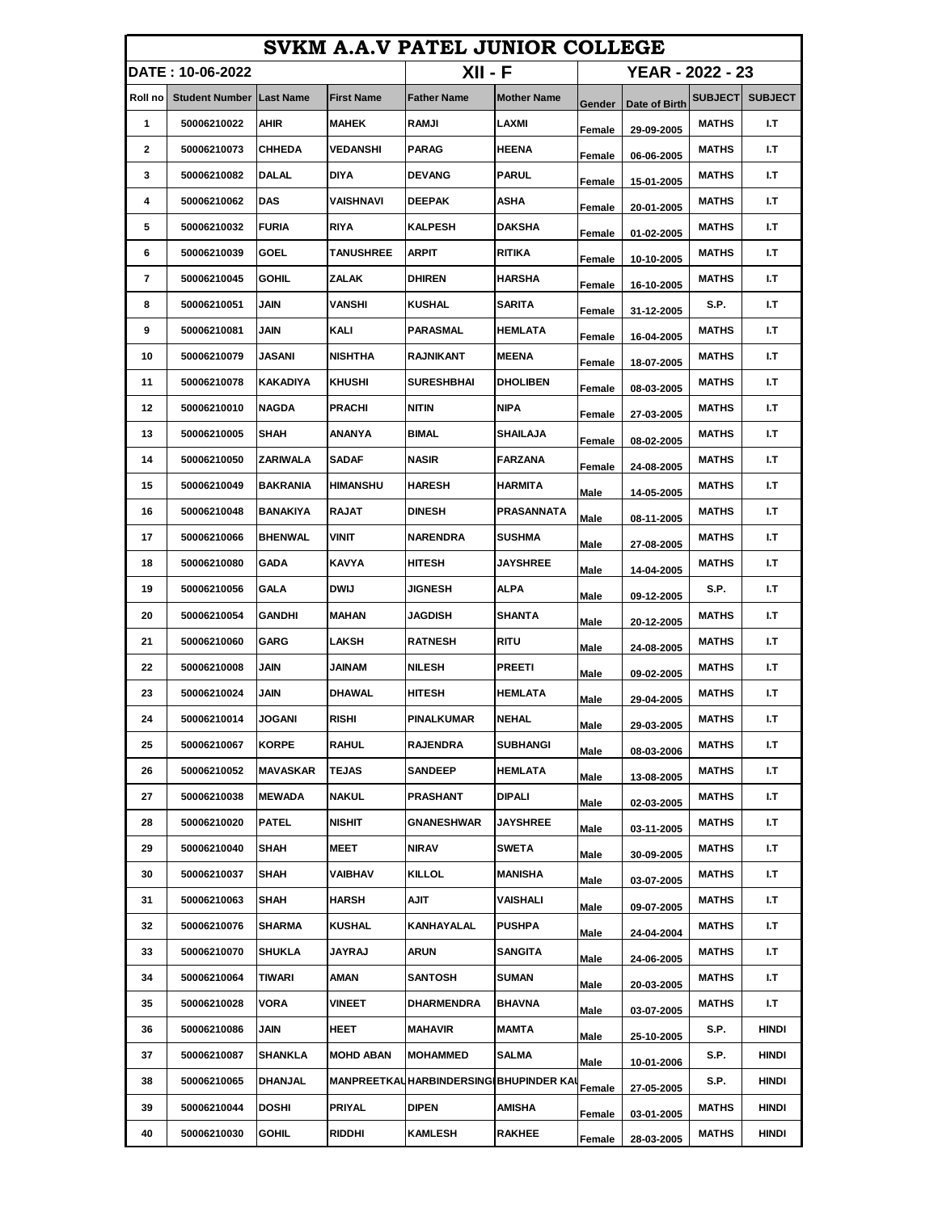| SVKM A.A.V PATEL JUNIOR COLLEGE |                                 |                 |                   |                                        |                    |                  |               |                |                |
|---------------------------------|---------------------------------|-----------------|-------------------|----------------------------------------|--------------------|------------------|---------------|----------------|----------------|
|                                 | DATE : 10-06-2022               |                 |                   | $XII - F$                              |                    | YEAR - 2022 - 23 |               |                |                |
| Roll no                         | <b>Student Number Last Name</b> |                 | <b>First Name</b> | <b>Father Name</b>                     | <b>Mother Name</b> | Gender           | Date of Birth | <b>SUBJECT</b> | <b>SUBJECT</b> |
| 1                               | 50006210022                     | <b>AHIR</b>     | <b>MAHEK</b>      | RAMJI                                  | LAXMI              | Female           | 29-09-2005    | <b>MATHS</b>   | I.T            |
| 2                               | 50006210073                     | <b>CHHEDA</b>   | VEDANSHI          | <b>PARAG</b>                           | <b>HEENA</b>       | Female           | 06-06-2005    | <b>MATHS</b>   | I.T            |
| 3                               | 50006210082                     | <b>DALAL</b>    | DIYA              | <b>DEVANG</b>                          | <b>PARUL</b>       | Female           | 15-01-2005    | <b>MATHS</b>   | I.T            |
| 4                               | 50006210062                     | <b>DAS</b>      | VAISHNAVI         | <b>DEEPAK</b>                          | ASHA               | Female           | 20-01-2005    | <b>MATHS</b>   | I.T            |
| 5                               | 50006210032                     | <b>FURIA</b>    | <b>RIYA</b>       | <b>KALPESH</b>                         | DAKSHA             | Female           | 01-02-2005    | <b>MATHS</b>   | I.T            |
| 6                               | 50006210039                     | <b>GOEL</b>     | TANUSHREE         | <b>ARPIT</b>                           | <b>RITIKA</b>      | Female           | 10-10-2005    | <b>MATHS</b>   | I.T            |
| 7                               | 50006210045                     | <b>GOHIL</b>    | ZALAK             | <b>DHIREN</b>                          | <b>HARSHA</b>      | Female           | 16-10-2005    | <b>MATHS</b>   | I.T            |
| 8                               | 50006210051                     | JAIN            | VANSHI            | KUSHAL                                 | SARITA             | Female           | 31-12-2005    | S.P.           | I.T            |
| 9                               | 50006210081                     | JAIN            | KALI              | PARASMAL                               | <b>HEMLATA</b>     | Female           | 16-04-2005    | <b>MATHS</b>   | I.T            |
| 10                              | 50006210079                     | JASANI          | <b>NISHTHA</b>    | RAJNIKANT                              | <b>MEENA</b>       | Female           | 18-07-2005    | <b>MATHS</b>   | I.T            |
| 11                              | 50006210078                     | KAKADIYA        | KHUSHI            | <b>SURESHBHAI</b>                      | <b>DHOLIBEN</b>    | Female           | 08-03-2005    | <b>MATHS</b>   | I.T            |
| 12                              | 50006210010                     | <b>NAGDA</b>    | <b>PRACHI</b>     | NITIN                                  | NIPA               | Female           | 27-03-2005    | <b>MATHS</b>   | I.T            |
| 13                              | 50006210005                     | SHAH            | ANANYA            | BIMAL                                  | SHAILAJA           | Female           | 08-02-2005    | <b>MATHS</b>   | I.T            |
| 14                              | 50006210050                     | ZARIWALA        | <b>SADAF</b>      | <b>NASIR</b>                           | <b>FARZANA</b>     | Female           | 24-08-2005    | <b>MATHS</b>   | I.T            |
| 15                              | 50006210049                     | <b>BAKRANIA</b> | <b>HIMANSHU</b>   | <b>HARESH</b>                          | HARMITA            | Male             | 14-05-2005    | <b>MATHS</b>   | I.T            |
| 16                              | 50006210048                     | BANAKIYA        | <b>RAJAT</b>      | <b>DINESH</b>                          | PRASANNATA         | Male             | 08-11-2005    | <b>MATHS</b>   | I.T            |
| 17                              | 50006210066                     | <b>BHENWAL</b>  | VINIT             | <b>NARENDRA</b>                        | <b>SUSHMA</b>      | Male             | 27-08-2005    | <b>MATHS</b>   | I.T            |
| 18                              | 50006210080                     | <b>GADA</b>     | <b>KAVYA</b>      | HITESH                                 | <b>JAYSHREE</b>    | Male             | 14-04-2005    | <b>MATHS</b>   | I.T            |
| 19                              | 50006210056                     | GALA            | <b>DWIJ</b>       | <b>JIGNESH</b>                         | ALPA               | Male             | 09-12-2005    | S.P.           | I.T            |
| 20                              | 50006210054                     | GANDHI          | <b>MAHAN</b>      | <b>JAGDISH</b>                         | <b>SHANTA</b>      | Male             | 20-12-2005    | <b>MATHS</b>   | I.T            |
| 21                              | 50006210060                     | <b>GARG</b>     | LAKSH             | <b>RATNESH</b>                         | RITU               | Male             | 24-08-2005    | MATHS          | I.T            |
| 22                              | 50006210008                     | JAIN            | JAINAM            | <b>NILESH</b>                          | <b>PREETI</b>      | Male             | 09-02-2005    | <b>MATHS</b>   | I.T            |
| 23                              | 50006210024                     | <b>JAIN</b>     | DHAWAL            | HITESH                                 | <b>HEMLATA</b>     | Male             | 29-04-2005    | <b>MATHS</b>   | I.T            |
| 24                              | 50006210014                     | JOGANI          | RISHI             | PINALKUMAR                             | <b>NEHAL</b>       | Male             | 29-03-2005    | <b>MATHS</b>   | I.T            |
| 25                              | 50006210067                     | <b>KORPE</b>    | <b>RAHUL</b>      | <b>RAJENDRA</b>                        | SUBHANGI           | Male             | 08-03-2006    | MATHS          | I.T            |
| 26                              | 50006210052                     | MAVASKAR        | <b>TEJAS</b>      | SANDEEP                                | <b>HEMLATA</b>     | Male             | 13-08-2005    | <b>MATHS</b>   | I.T            |
| 27                              | 50006210038                     | <b>MEWADA</b>   | <b>NAKUL</b>      | PRASHANT                               | <b>DIPALI</b>      | Male             | 02-03-2005    | <b>MATHS</b>   | I.T            |
| 28                              | 50006210020                     | <b>PATEL</b>    | <b>NISHIT</b>     | GNANESHWAR                             | <b>JAYSHREE</b>    | Male             | 03-11-2005    | MATHS          | I.T            |
| 29                              | 50006210040                     | SHAH            | <b>MEET</b>       | NIRAV                                  | <b>SWETA</b>       | Male             | 30-09-2005    | MATHS          | I.T            |
| 30                              | 50006210037                     | SHAH            | VAIBHAV           | KILLOL                                 | MANISHA            | Male             | 03-07-2005    | <b>MATHS</b>   | I.T            |
| 31                              | 50006210063                     | <b>SHAH</b>     | <b>HARSH</b>      | AJIT                                   | VAISHALI           | Male             | 09-07-2005    | <b>MATHS</b>   | I.T            |
| 32                              | 50006210076                     | <b>SHARMA</b>   | KUSHAL            | KANHAYALAL                             | <b>PUSHPA</b>      | Male             | 24-04-2004    | <b>MATHS</b>   | I.T            |
| 33                              | 50006210070                     | <b>SHUKLA</b>   | JAYRAJ            | ARUN                                   | SANGITA            | Male             | 24-06-2005    | MATHS          | I.T            |
| 34                              | 50006210064                     | TIWARI          | AMAN              | <b>SANTOSH</b>                         | <b>SUMAN</b>       | Male             | 20-03-2005    | <b>MATHS</b>   | I.T            |
| 35                              | 50006210028                     | VORA            | <b>VINEET</b>     | DHARMENDRA                             | BHAVNA             | Male             | 03-07-2005    | <b>MATHS</b>   | I.T            |
| 36                              | 50006210086                     | JAIN            | HEET              | MAHAVIR                                | MAMTA              | Male             | 25-10-2005    | S.P.           | HINDI          |
| 37                              | 50006210087                     | SHANKLA         | <b>MOHD ABAN</b>  | <b>MOHAMMED</b>                        | SALMA              | Male             | 10-01-2006    | S.P.           | <b>HINDI</b>   |
| 38                              | 50006210065                     | <b>DHANJAL</b>  |                   | MANPREETKAUHARBINDERSINGIBHUPINDER KAU |                    | Female           | 27-05-2005    | S.P.           | <b>HINDI</b>   |
| 39                              | 50006210044                     | <b>DOSHI</b>    | PRIYAL            | DIPEN                                  | AMISHA             | Female           | 03-01-2005    | MATHS          | <b>HINDI</b>   |
| 40                              | 50006210030                     | <b>GOHIL</b>    | RIDDHI            | KAMLESH                                | <b>RAKHEE</b>      | Female           | 28-03-2005    | <b>MATHS</b>   | <b>HINDI</b>   |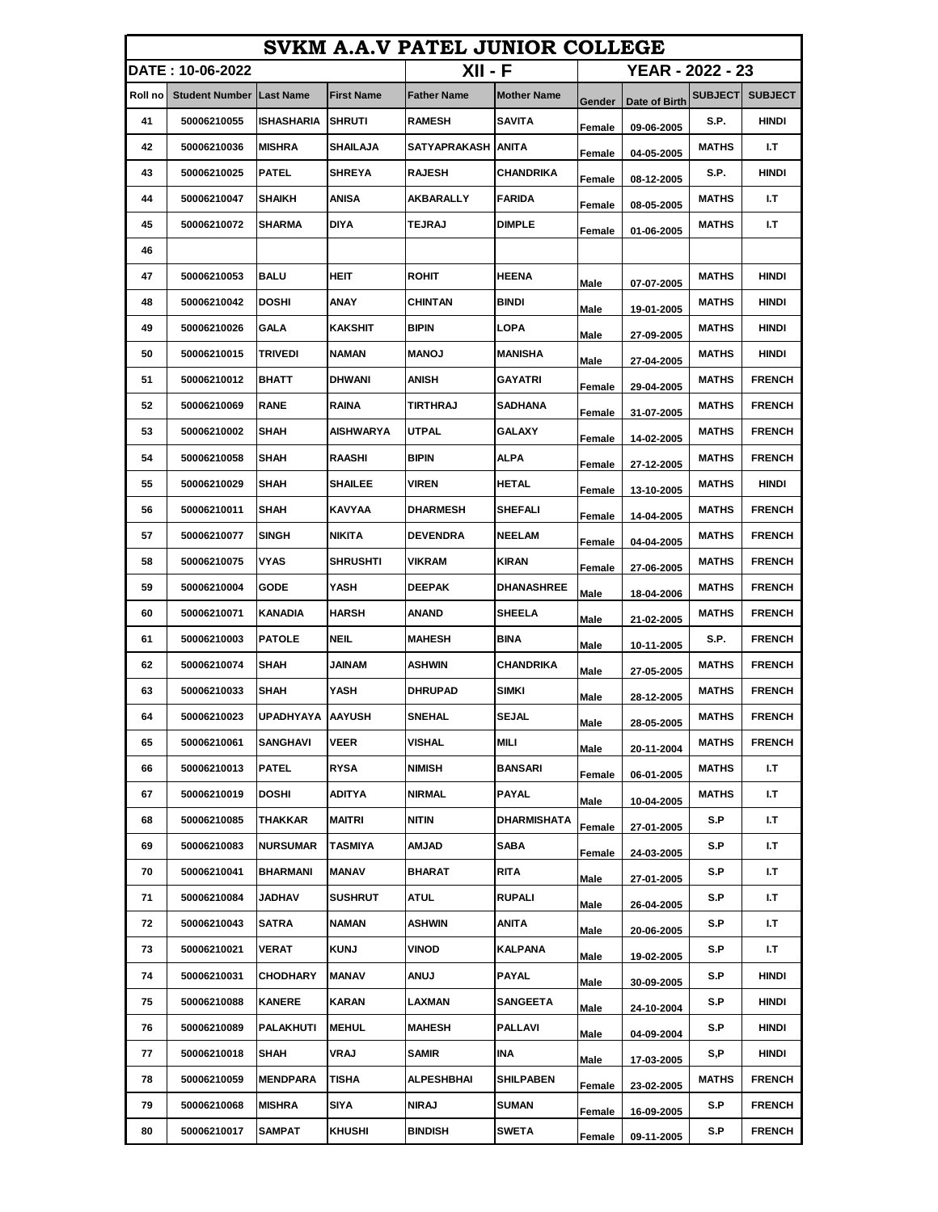| SVKM A.A.V PATEL JUNIOR COLLEGE |                       |                         |                   |                      |                    |        |                  |                |                |
|---------------------------------|-----------------------|-------------------------|-------------------|----------------------|--------------------|--------|------------------|----------------|----------------|
|                                 | DATE: 10-06-2022      |                         |                   | XII - F              |                    |        | YEAR - 2022 - 23 |                |                |
| Roll no                         | <b>Student Number</b> | <b>Last Name</b>        | <b>First Name</b> | <b>Father Name</b>   | <b>Mother Name</b> | Gender | Date of Birth    | <b>SUBJECT</b> | <b>SUBJECT</b> |
| 41                              | 50006210055           | ISHASHARIA              | <b>SHRUTI</b>     | <b>RAMESH</b>        | <b>SAVITA</b>      | Female | 09-06-2005       | S.P.           | HINDI          |
| 42                              | 50006210036           | <b>MISHRA</b>           | <b>SHAILAJA</b>   | SATYAPRAKASH   ANITA |                    | Female | 04-05-2005       | <b>MATHS</b>   | I.T            |
| 43                              | 50006210025           | <b>PATEL</b>            | <b>SHREYA</b>     | <b>RAJESH</b>        | CHANDRIKA          | Female | 08-12-2005       | S.P.           | HINDI          |
| 44                              | 50006210047           | <b>SHAIKH</b>           | ANISA             | AKBARALLY            | <b>FARIDA</b>      | Female | 08-05-2005       | <b>MATHS</b>   | I.T            |
| 45                              | 50006210072           | SHARMA                  | DIYA              | TEJRAJ               | <b>DIMPLE</b>      | Female | 01-06-2005       | <b>MATHS</b>   | I.T            |
| 46                              |                       |                         |                   |                      |                    |        |                  |                |                |
| 47                              | 50006210053           | <b>BALU</b>             | HEIT              | <b>ROHIT</b>         | <b>HEENA</b>       | Male   | 07-07-2005       | <b>MATHS</b>   | <b>HINDI</b>   |
| 48                              | 50006210042           | <b>DOSHI</b>            | ANAY              | CHINTAN              | BINDI              | Male   | 19-01-2005       | <b>MATHS</b>   | HINDI          |
| 49                              | 50006210026           | GALA                    | KAKSHIT           | <b>BIPIN</b>         | LOPA               | Male   | 27-09-2005       | <b>MATHS</b>   | HINDI          |
| 50                              | 50006210015           | <b>TRIVEDI</b>          | <b>NAMAN</b>      | <b>MANOJ</b>         | <b>MANISHA</b>     | Male   | 27-04-2005       | <b>MATHS</b>   | <b>HINDI</b>   |
| 51                              | 50006210012           | <b>BHATT</b>            | DHWANI            | <b>ANISH</b>         | GAYATRI            | Female | 29-04-2005       | <b>MATHS</b>   | <b>FRENCH</b>  |
| 52                              | 50006210069           | <b>RANE</b>             | RAINA             | TIRTHRAJ             | SADHANA            | Female | 31-07-2005       | <b>MATHS</b>   | <b>FRENCH</b>  |
| 53                              | 50006210002           | <b>SHAH</b>             | <b>AISHWARYA</b>  | UTPAL                | <b>GALAXY</b>      | Female | 14-02-2005       | <b>MATHS</b>   | <b>FRENCH</b>  |
| 54                              | 50006210058           | <b>SHAH</b>             | RAASHI            | <b>BIPIN</b>         | <b>ALPA</b>        | Female | 27-12-2005       | <b>MATHS</b>   | <b>FRENCH</b>  |
| 55                              | 50006210029           | <b>ISHAH</b>            | <b>SHAILEE</b>    | <b>VIREN</b>         | <b>HETAL</b>       | Female | 13-10-2005       | <b>MATHS</b>   | HINDI          |
| 56                              | 50006210011           | <b>SHAH</b>             | KAVYAA            | <b>DHARMESH</b>      | <b>SHEFALI</b>     | Female | 14-04-2005       | <b>MATHS</b>   | <b>FRENCH</b>  |
| 57                              | 50006210077           | <b>SINGH</b>            | NIKITA            | <b>DEVENDRA</b>      | <b>NEELAM</b>      | Female | 04-04-2005       | <b>MATHS</b>   | <b>FRENCH</b>  |
| 58                              | 50006210075           | <b>VYAS</b>             | SHRUSHTI          | VIKRAM               | <b>KIRAN</b>       | Female | 27-06-2005       | <b>MATHS</b>   | <b>FRENCH</b>  |
| 59                              | 50006210004           | <b>GODE</b>             | YASH              | <b>DEEPAK</b>        | <b>DHANASHREE</b>  | Male   | 18-04-2006       | <b>MATHS</b>   | <b>FRENCH</b>  |
| 60                              | 50006210071           | KANADIA                 | HARSH             | ANAND                | <b>SHEELA</b>      | Male   | 21-02-2005       | <b>MATHS</b>   | <b>FRENCH</b>  |
| 61                              | 50006210003           | <b>PATOLE</b>           | NEIL              | <b>MAHESH</b>        | BINA               | Male   | 10-11-2005       | S.P.           | <b>FRENCH</b>  |
| 62                              | 50006210074           | SHAH                    | <b>MANIAU</b>     | <b>ASHWIN</b>        | <b>CHANDRIKA</b>   | Male   | 27-05-2005       | <b>MATHS</b>   | <b>FRENCH</b>  |
| 63                              | 50006210033           | SHAH                    | YASH              | DHRUPAD              | SIMKI              | Male   | 28-12-2005       | <b>MATHS</b>   | <b>FRENCH</b>  |
| 64                              | 50006210023           | <b>UPADHYAYA AAYUSH</b> |                   | <b>SNEHAL</b>        | <b>SEJAL</b>       | Male   | 28-05-2005       | <b>MATHS</b>   | <b>FRENCH</b>  |
| 65                              | 50006210061           | <b>SANGHAVI</b>         | <b>VEER</b>       | VISHAL               | <b>MILI</b>        | Male   | 20-11-2004       | <b>MATHS</b>   | <b>FRENCH</b>  |
| 66                              | 50006210013           | <b>PATEL</b>            | <b>RYSA</b>       | <b>NIMISH</b>        | <b>BANSARI</b>     | Female | 06-01-2005       | MATHS          | I.T            |
| 67                              | 50006210019           | <b>DOSHI</b>            | ADITYA            | NIRMAL               | <b>PAYAL</b>       | Male   | 10-04-2005       | <b>MATHS</b>   | I.T            |
| 68                              | 50006210085           | THAKKAR                 | MAITRI            | NITIN                | DHARMISHATA        | Female | 27-01-2005       | S.P            | I.T            |
| 69                              | 50006210083           | <b>NURSUMAR</b>         | TASMIYA           | AMJAD                | SABA               | Female | 24-03-2005       | S.P            | I.T            |
| 70                              | 50006210041           | <b>BHARMANI</b>         | MANAV             | BHARAT               | <b>RITA</b>        | Male   | 27-01-2005       | S.P            | I.T            |
| 71                              | 50006210084           | JADHAV                  | <b>SUSHRUT</b>    | ATUL                 | <b>RUPALI</b>      | Male   | 26-04-2005       | S.P            | I.T            |
| 72                              | 50006210043           | SATRA                   | NAMAN             | <b>ASHWIN</b>        | ANITA              | Male   | 20-06-2005       | S.P            | I.T            |
| 73                              | 50006210021           | VERAT                   | <b>KUNJ</b>       | VINOD                | KALPANA            | Male   | 19-02-2005       | S.P            | I.T            |
| 74                              | 50006210031           | <b>CHODHARY</b>         | MANAV             | ANUJ                 | PAYAL              | Male   | 30-09-2005       | S.P            | HINDI          |
| 75                              | 50006210088           | <b>KANERE</b>           | KARAN             | LAXMAN               | <b>SANGEETA</b>    | Male   | 24-10-2004       | S.P            | <b>HINDI</b>   |
| 76                              | 50006210089           | <b>PALAKHUTI</b>        | <b>MEHUL</b>      | <b>MAHESH</b>        | <b>PALLAVI</b>     | Male   | 04-09-2004       | S.P            | HINDI          |
| 77                              | 50006210018           | SHAH                    | VRAJ              | <b>SAMIR</b>         | INA                | Male   | 17-03-2005       | S,P            | HINDI          |
| 78                              | 50006210059           | <b>MENDPARA</b>         | TISHA             | <b>ALPESHBHAI</b>    | <b>SHILPABEN</b>   | Female | 23-02-2005       | <b>MATHS</b>   | <b>FRENCH</b>  |
| 79                              | 50006210068           | <b>MISHRA</b>           | SIYA              | NIRAJ                | <b>SUMAN</b>       | Female | 16-09-2005       | S.P            | <b>FRENCH</b>  |
| 80                              | 50006210017           | <b>SAMPAT</b>           | KHUSHI            | <b>BINDISH</b>       | <b>SWETA</b>       | Female | 09-11-2005       | S.P            | <b>FRENCH</b>  |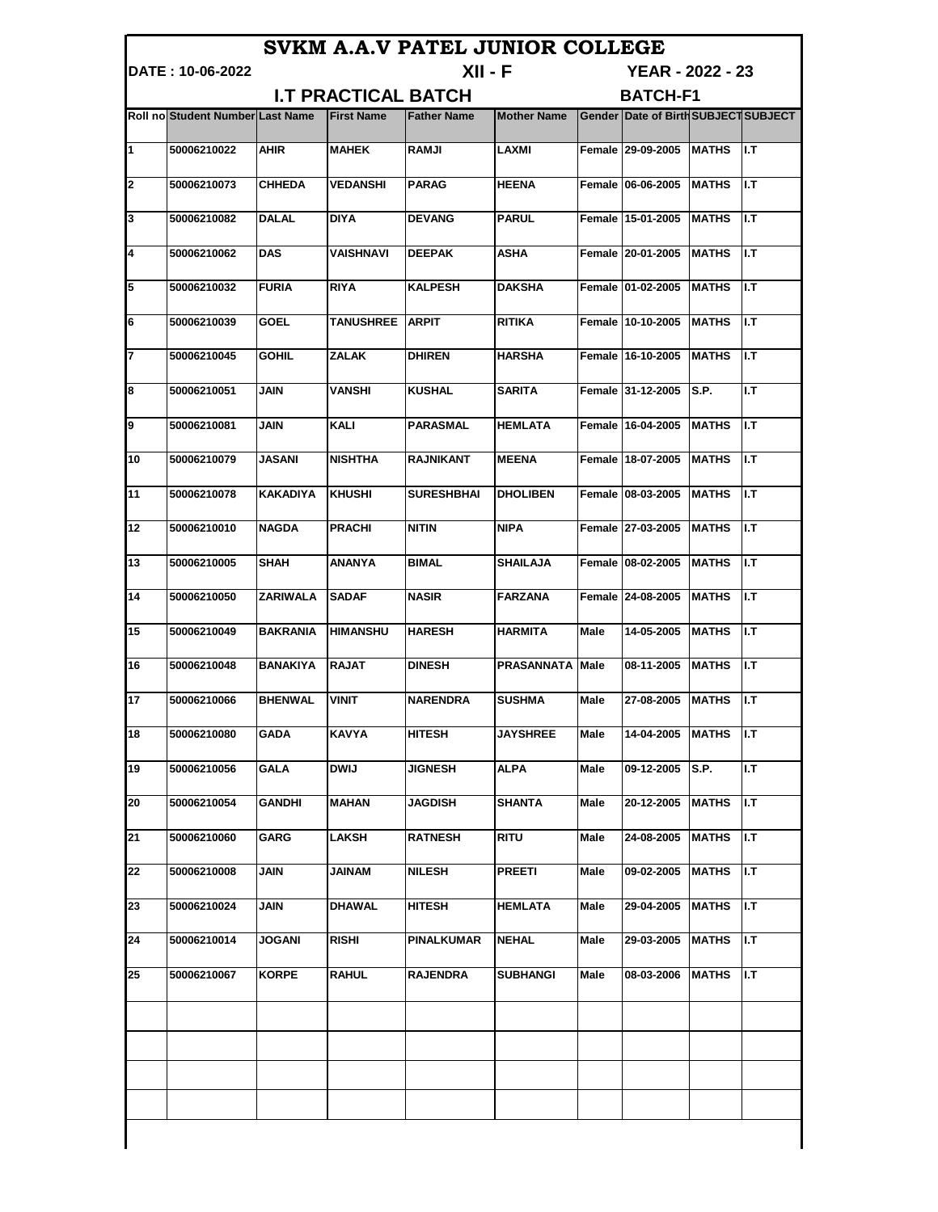|                            |                                  |                 |                        | SVKM A.A.V PATEL JUNIOR COLLEGE    |                        |      |                                      |               |      |
|----------------------------|----------------------------------|-----------------|------------------------|------------------------------------|------------------------|------|--------------------------------------|---------------|------|
|                            | IDATE : 10-06-2022               |                 |                        | XII - F<br><b>YEAR - 2022 - 23</b> |                        |      |                                      |               |      |
| <b>I.T PRACTICAL BATCH</b> |                                  |                 |                        |                                    | <b>BATCH-F1</b>        |      |                                      |               |      |
|                            | Roll no Student Number Last Name |                 | <b>First Name</b>      | <b>Father Name</b>                 | <b>Mother Name</b>     |      | Gender Date of Birth SUBJECT SUBJECT |               |      |
| $\mathbf{1}$               | 50006210022                      | AHIR            | <b>MAHEK</b>           | <b>RAMJI</b>                       | <b>LAXMI</b>           |      | Female 29-09-2005 MATHS              |               | II.T |
| $\mathbf{z}$               | 50006210073                      | <b>CHHEDA</b>   | <b>VEDANSHI</b>        | <b>PARAG</b>                       | <b>HEENA</b>           |      | Female 06-06-2005 MATHS              |               | I.T  |
| 3                          | 50006210082                      | <b>DALAL</b>    | <b>DIYA</b>            | <b>DEVANG</b>                      | <b>PARUL</b>           |      | Female 15-01-2005 MATHS              |               | ll.T |
| 4                          | 50006210062                      | <b>DAS</b>      | <b>VAISHNAVI</b>       | <b>DEEPAK</b>                      | <b>ASHA</b>            |      | Female 20-01-2005 MATHS              |               | ll.T |
| 5                          | 50006210032                      | <b>FURIA</b>    | <b>RIYA</b>            | <b>KALPESH</b>                     | <b>DAKSHA</b>          |      | Female 01-02-2005 MATHS              |               | ll.T |
| 6                          | 50006210039                      | <b>GOEL</b>     | <b>TANUSHREE ARPIT</b> |                                    | <b>RITIKA</b>          |      | Female 10-10-2005 MATHS              |               | II.T |
| 7                          | 50006210045                      | <b>GOHIL</b>    | <b>ZALAK</b>           | <b>DHIREN</b>                      | <b>HARSHA</b>          |      | Female 16-10-2005 MATHS              |               | ll.T |
| 8                          | 50006210051                      | <b>JAIN</b>     | <b>VANSHI</b>          | <b>KUSHAL</b>                      | <b>SARITA</b>          |      | Female 31-12-2005 S.P.               |               | I.T  |
| Ι9                         | 50006210081                      | JAIN            | <b>KALI</b>            | <b>PARASMAL</b>                    | <b>HEMLATA</b>         |      | Female 16-04-2005                    | <b>MATHS</b>  | II.T |
| 10                         | 50006210079                      | JASANI          | <b>NISHTHA</b>         | RAJNIKANT                          | <b>MEENA</b>           |      | Female 18-07-2005                    | <b>MATHS</b>  | ll.T |
| 11                         | 50006210078                      | <b>KAKADIYA</b> | <b>KHUSHI</b>          | <b>SURESHBHAI</b>                  | <b>DHOLIBEN</b>        |      | Female 08-03-2005                    | <b>MATHS</b>  | ll.T |
| 12                         | 50006210010                      | <b>NAGDA</b>    | <b>PRACHI</b>          | <b>NITIN</b>                       | <b>NIPA</b>            |      | Female 27-03-2005 MATHS              |               | ll.T |
| 13                         | 50006210005                      | <b>SHAH</b>     | <b>ANANYA</b>          | <b>BIMAL</b>                       | <b>SHAILAJA</b>        |      | Female 08-02-2005 MATHS              |               | ll.T |
| 14                         | 50006210050                      | <b>ZARIWALA</b> | <b>SADAF</b>           | <b>NASIR</b>                       | <b>FARZANA</b>         |      | Female 24-08-2005   MATHS            |               | ll.T |
| 15                         | 50006210049                      | <b>BAKRANIA</b> | <b>HIMANSHU</b>        | <b>HARESH</b>                      | <b>HARMITA</b>         | Male | 14-05-2005 MATHS                     |               | ll.T |
| 16                         | 50006210048                      | <b>BANAKIYA</b> | <b>RAJAT</b>           | <b>DINESH</b>                      | <b>PRASANNATA Male</b> |      | 08-11-2005 MATHS                     |               | ll.T |
| 17                         | 50006210066                      | <b>BHENWAL</b>  | <b>VINIT</b>           | <b>NARENDRA</b>                    | <b>SUSHMA</b>          | Male | 27-08-2005                           | <b>IMATHS</b> | ll.T |
| 18                         | 50006210080                      | GADA            | KAVYA                  | <b>HITESH</b>                      | <b>JAYSHREE</b>        | Male | 14-04-2005                           | <b>MATHS</b>  | II.T |
| 19                         | 50006210056                      | <b>GALA</b>     | <b>DWIJ</b>            | <b>JIGNESH</b>                     | <b>ALPA</b>            | Male | 09-12-2005                           | S.P.          | I.T  |
| 20                         | 50006210054                      | <b>GANDHI</b>   | <b>MAHAN</b>           | <b>JAGDISH</b>                     | <b>SHANTA</b>          | Male | 20-12-2005                           | <b>MATHS</b>  | I.T  |
| 21                         | 50006210060                      | GARG            | LAKSH                  | <b>RATNESH</b>                     | <b>RITU</b>            | Male | 24-08-2005                           | <b>MATHS</b>  | I.T  |
| 22                         | 50006210008                      | JAIN            | JAINAM                 | NILESH                             | <b>PREETI</b>          | Male | 09-02-2005                           | MATHS         | II.T |
| 23                         | 50006210024                      | JAIN            | <b>DHAWAL</b>          | HITESH                             | <b>HEMLATA</b>         | Male | 29-04-2005                           | <b>MATHS</b>  | II.T |
| 24                         | 50006210014                      | <b>JOGANI</b>   | RISHI                  | PINALKUMAR                         | <b>NEHAL</b>           | Male | 29-03-2005                           | <b>MATHS</b>  | JI.T |
| 25                         | 50006210067                      | <b>KORPE</b>    | RAHUL                  | <b>RAJENDRA</b>                    | SUBHANGI               | Male | 08-03-2006                           | <b>MATHS</b>  | I.T  |
|                            |                                  |                 |                        |                                    |                        |      |                                      |               |      |
|                            |                                  |                 |                        |                                    |                        |      |                                      |               |      |
|                            |                                  |                 |                        |                                    |                        |      |                                      |               |      |
|                            |                                  |                 |                        |                                    |                        |      |                                      |               |      |